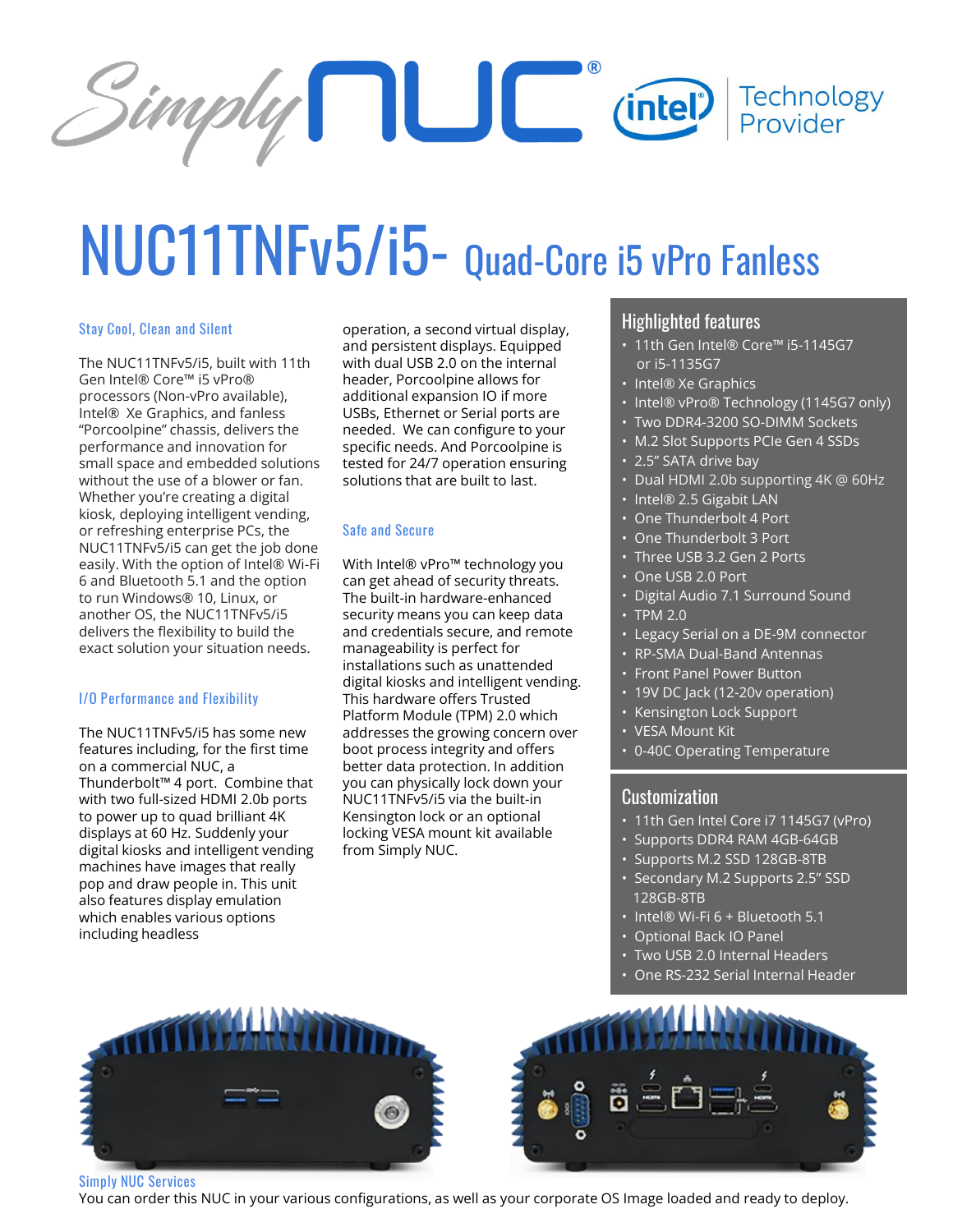

# NUC11TNFv5/i5- Quad-Core i5 vPro Fanless

#### **Stay Cool, Clean and Silent**

The NUC11TNFv5/i5, built with 11th Gen Intel® Core™ i5 vPro® processors (Non-vPro available), Intel® Xe Graphics, and fanless "Porcoolpine" chassis, delivers the performance and innovation for small space and embedded solutions without the use of a blower or fan. Whether you're creating a digital kiosk, deploying intelligent vending, or refreshing enterprise PCs, the NUC11TNFv5/i5 can get the job done easily. With the option of Intel® Wi-Fi 6 and Bluetooth 5.1 and the option to run Windows® 10, Linux, or another OS, the NUC11TNFv5/i5 delivers the flexibility to build the exact solution your situation needs.

#### **I/O Performance and Flexibility**

The NUC11TNFv5/i5 has some new features including, for the first time on a commercial NUC, a Thunderbolt™ 4 port. Combine that with two full-sized HDMI 2.0b ports to power up to quad brilliant 4K displays at 60 Hz. Suddenly your digital kiosks and intelligent vending machines have images that really pop and draw people in. This unit also features display emulation which enables various options including headless

operation, a second virtual display, and persistent displays. Equipped with dual USB 2.0 on the internal header, Porcoolpine allows for additional expansion IO if more USBs, Ethernet or Serial ports are needed. We can configure to your specific needs. And Porcoolpine is tested for 24/7 operation ensuring solutions that are built to last.

#### **Safe and Secure**

With Intel® vPro™ technology you can get ahead of security threats. The built-in hardware-enhanced security means you can keep data and credentials secure, and remote manageability is perfect for installations such as unattended digital kiosks and intelligent vending. This hardware offers Trusted Platform Module (TPM) 2.0 which addresses the growing concern over boot process integrity and offers better data protection. In addition you can physically lock down your NUC11TNFv5/i5 via the built-in Kensington lock or an optional locking VESA mount kit available from Simply NUC.

### Highlighted features

- 11th Gen Intel® Core™ i5-1145G7 or i5-1135G7
- Intel® Xe Graphics
- Intel® vPro® Technology (1145G7 only)
- Two DDR4-3200 SO-DIMM Sockets
- M.2 Slot Supports PCIe Gen 4 SSDs
- 2.5" SATA drive bay
- Dual HDMI 2.0b supporting 4K @ 60Hz
- Intel® 2.5 Gigabit LAN
- One Thunderbolt 4 Port
- One Thunderbolt 3 Port
- Three USB 3.2 Gen 2 Ports
- One USB 2.0 Port
- Digital Audio 7.1 Surround Sound
- TPM 2.0
- Legacy Serial on a DE-9M connector
- RP-SMA Dual-Band Antennas
- Front Panel Power Button
- 19V DC Jack (12-20v operation)
- Kensington Lock Support
- VESA Mount Kit
- 0-40C Operating Temperature

## Customization

- 11th Gen Intel Core i7 1145G7 (vPro)
- Supports DDR4 RAM 4GB-64GB
- Supports M.2 SSD 128GB-8TB
- Secondary M.2 Supports 2.5" SSD 128GB-8TB
- Intel® Wi-Fi 6 + Bluetooth 5.1
- Optional Back IO Panel
- Two USB 2.0 Internal Headers
- One RS-232 Serial Internal Header





You can order this NUC in your various configurations, as well as your corporate OS Image loaded and ready to deploy.